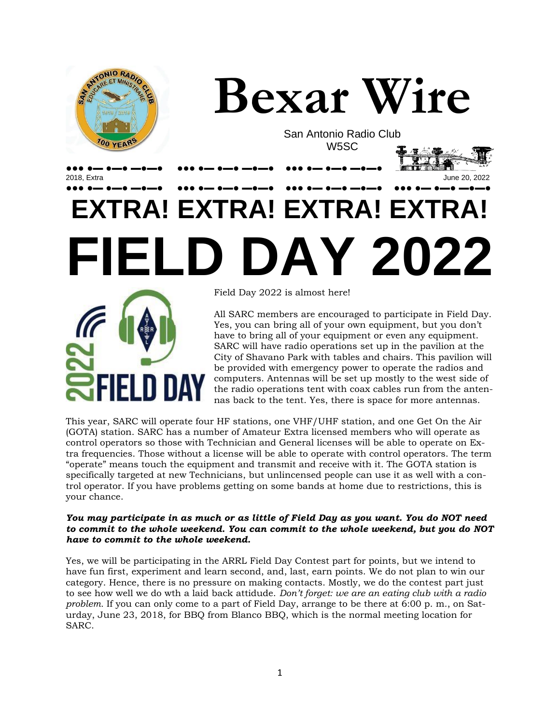

All SARC members are encouraged to participate in Field Day. Yes, you can bring all of your own equipment, but you don't have to bring all of your equipment or even any equipment. SARC will have radio operations set up in the pavilion at the City of Shavano Park with tables and chairs. This pavilion will be provided with emergency power to operate the radios and computers. Antennas will be set up mostly to the west side of the radio operations tent with coax cables run from the antennas back to the tent. Yes, there is space for more antennas.

This year, SARC will operate four HF stations, one VHF/UHF station, and one Get On the Air (GOTA) station. SARC has a number of Amateur Extra licensed members who will operate as control operators so those with Technician and General licenses will be able to operate on Extra frequencies. Those without a license will be able to operate with control operators. The term "operate" means touch the equipment and transmit and receive with it. The GOTA station is specifically targeted at new Technicians, but unlincensed people can use it as well with a control operator. If you have problems getting on some bands at home due to restrictions, this is your chance.

#### *You may participate in as much or as little of Field Day as you want. You do NOT need to commit to the whole weekend. You can commit to the whole weekend, but you do NOT have to commit to the whole weekend.*

Yes, we will be participating in the ARRL Field Day Contest part for points, but we intend to have fun first, experiment and learn second, and, last, earn points. We do not plan to win our category. Hence, there is no pressure on making contacts. Mostly, we do the contest part just to see how well we do wth a laid back attidude. *Don't forget: we are an eating club with a radio problem.* If you can only come to a part of Field Day, arrange to be there at 6:00 p. m., on Saturday, June 23, 2018, for BBQ from Blanco BBQ, which is the normal meeting location for SARC.